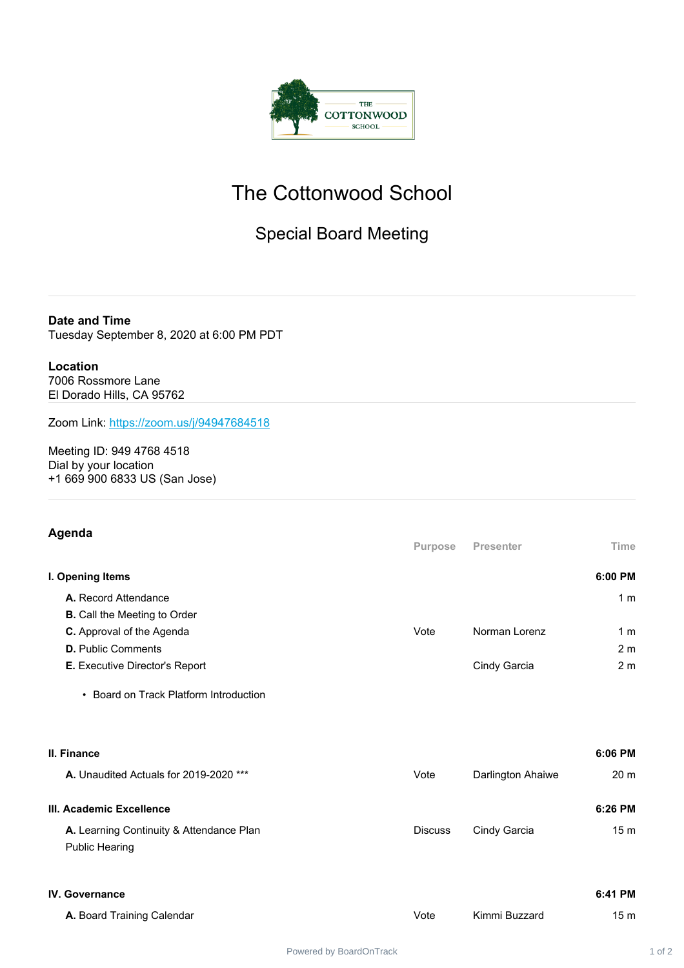

# The Cottonwood School

### Special Board Meeting

**Date and Time** Tuesday September 8, 2020 at 6:00 PM PDT

## **Location**

7006 Rossmore Lane El Dorado Hills, CA 95762

Zoom Link: <https://zoom.us/j/94947684518>

Meeting ID: 949 4768 4518 Dial by your location +1 669 900 6833 US (San Jose)

#### **Agenda**

|                                       | <b>Purpose</b> | <b>Presenter</b> | <b>Time</b>    |
|---------------------------------------|----------------|------------------|----------------|
| I. Opening Items                      |                |                  | 6:00 PM        |
| A. Record Attendance                  |                |                  | 1 <sub>m</sub> |
| <b>B.</b> Call the Meeting to Order   |                |                  |                |
| <b>C.</b> Approval of the Agenda      | Vote           | Norman Lorenz    | 1 <sub>m</sub> |
| <b>D.</b> Public Comments             |                |                  | 2 <sub>m</sub> |
| <b>E.</b> Executive Director's Report |                | Cindy Garcia     | 2 <sub>m</sub> |

• Board on Track Platform Introduction

| II. Finance                                                       |                |                   | $6:06$ PM       |
|-------------------------------------------------------------------|----------------|-------------------|-----------------|
| A. Unaudited Actuals for 2019-2020 ***                            | Vote           | Darlington Ahaiwe | 20 <sub>m</sub> |
| III. Academic Excellence                                          |                |                   | $6:26$ PM       |
| A. Learning Continuity & Attendance Plan<br><b>Public Hearing</b> | <b>Discuss</b> | Cindy Garcia      | 15 <sub>m</sub> |

| <b>IV. Governance</b> | 6:41 PM |
|-----------------------|---------|
|                       |         |

A. Board Training Calendar **A.** Board Training Calendar **Vote** Vote Kimmi Buzzard 15 m